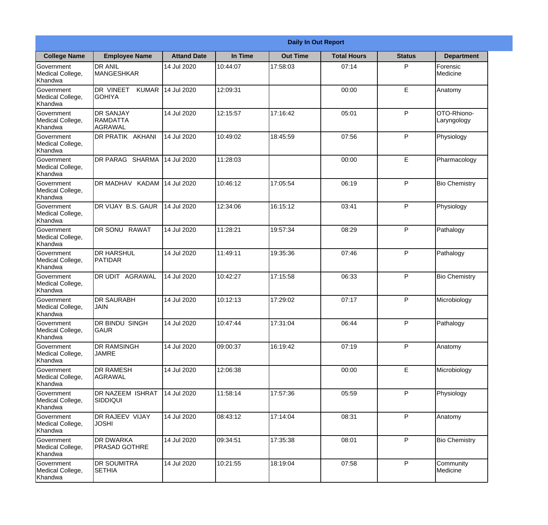|                                                  |                                                        |                    |          | <b>Daily In Out Report</b> |                    |               |                            |
|--------------------------------------------------|--------------------------------------------------------|--------------------|----------|----------------------------|--------------------|---------------|----------------------------|
| <b>College Name</b>                              | <b>Employee Name</b>                                   | <b>Attand Date</b> | In Time  | <b>Out Time</b>            | <b>Total Hours</b> | <b>Status</b> | <b>Department</b>          |
| Government<br>Medical College,<br>Khandwa        | <b>DR ANIL</b><br><b>MANGESHKAR</b>                    | 14 Jul 2020        | 10:44:07 | 17:58:03                   | 07:14              | P             | Forensic<br>Medicine       |
| Government<br>Medical College,<br>Khandwa        | DR VINEET<br><b>KUMAR</b><br><b>GOHIYA</b>             | 14 Jul 2020        | 12:09:31 |                            | 00:00              | E             | Anatomy                    |
| <b>Government</b><br>Medical College,<br>Khandwa | <b>IDR SANJAY</b><br><b>RAMDATTA</b><br><b>AGRAWAL</b> | 14 Jul 2020        | 12:15:57 | 17:16:42                   | 05:01              | P             | OTO-Rhiono-<br>Laryngology |
| Government<br>Medical College,<br>Khandwa        | <b>DR PRATIK AKHANI</b>                                | 14 Jul 2020        | 10:49:02 | 18:45:59                   | 07:56              | P             | Physiology                 |
| Government<br>Medical College,<br>Khandwa        | DR PARAG SHARMA                                        | 14 Jul 2020        | 11:28:03 |                            | 00:00              | E             | Pharmacology               |
| Government<br>Medical College,<br>Khandwa        | DR MADHAV KADAM                                        | 14 Jul 2020        | 10:46:12 | 17:05:54                   | 06:19              | P             | <b>Bio Chemistry</b>       |
| Government<br>Medical College,<br>Khandwa        | <b>IDR VIJAY B.S. GAUR</b>                             | 14 Jul 2020        | 12:34:06 | 16:15:12                   | 03:41              | P             | Physiology                 |
| Government<br>Medical College,<br>Khandwa        | DR SONU RAWAT                                          | 14 Jul 2020        | 11:28:21 | 19:57:34                   | 08:29              | P             | Pathalogy                  |
| Government<br>Medical College,<br>Khandwa        | <b>DR HARSHUL</b><br>PATIDAR                           | 14 Jul 2020        | 11:49:11 | 19:35:36                   | 07:46              | P             | Pathalogy                  |
| Government<br>Medical College,<br>Khandwa        | DR UDIT<br><b>AGRAWAL</b>                              | 14 Jul 2020        | 10:42:27 | 17:15:58                   | 06:33              | P             | <b>Bio Chemistry</b>       |
| Government<br>Medical College,<br>Khandwa        | <b>IDR SAURABH</b><br><b>JAIN</b>                      | 14 Jul 2020        | 10:12:13 | 17:29:02                   | 07:17              | $\mathsf{P}$  | Microbiology               |
| Government<br>Medical College,<br>Khandwa        | DR BINDU SINGH<br><b>GAUR</b>                          | 14 Jul 2020        | 10:47:44 | 17:31:04                   | 06:44              | P             | Pathalogy                  |
| Government<br>Medical College,<br>Khandwa        | <b>DR RAMSINGH</b><br><b>JAMRE</b>                     | 14 Jul 2020        | 09:00:37 | 16:19:42                   | 07:19              | P             | Anatomy                    |
| Government<br>Medical College,<br>Khandwa        | <b>DR RAMESH</b><br><b>AGRAWAL</b>                     | 14 Jul 2020        | 12:06:38 |                            | 00:00              | E             | Microbiology               |
| Government<br>Medical College,<br>Khandwa        | <b>DR NAZEEM ISHRAT</b><br>SIDDIQUI                    | 14 Jul 2020        | 11:58:14 | 17:57:36                   | 05:59              | $\mathsf{P}$  | Physiology                 |
| Government<br>Medical College,<br>Khandwa        | <b>DR RAJEEV VIJAY</b><br><b>JOSHI</b>                 | 14 Jul 2020        | 08:43:12 | 17:14:04                   | 08:31              | P             | Anatomy                    |
| Government<br>Medical College,<br>Khandwa        | <b>DR DWARKA</b><br><b>PRASAD GOTHRE</b>               | 14 Jul 2020        | 09:34:51 | 17:35:38                   | 08:01              | P             | <b>Bio Chemistry</b>       |
| Government<br>Medical College,<br>Khandwa        | <b>DR SOUMITRA</b><br><b>SETHIA</b>                    | 14 Jul 2020        | 10:21:55 | 18:19:04                   | 07:58              | P             | Community<br>Medicine      |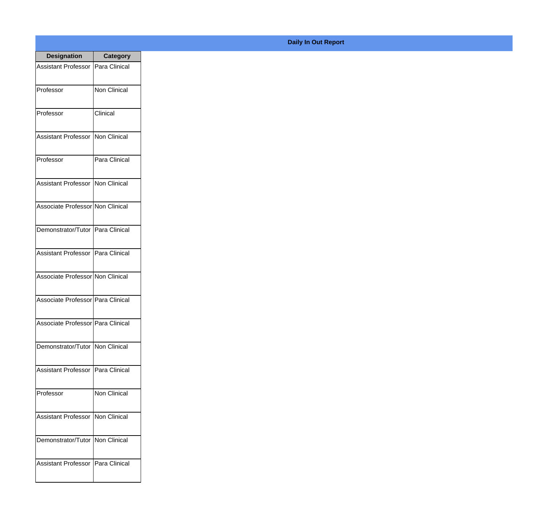| <b>Designation</b>                  | <b>Category</b>     |
|-------------------------------------|---------------------|
| <b>Assistant Professor</b>          | Para Clinical       |
| Professor                           | <b>Non Clinical</b> |
| Professor                           | Clinical            |
| <b>Assistant Professor</b>          | Non Clinical        |
| Professor                           | Para Clinical       |
| <b>Assistant Professor</b>          | Non Clinical        |
| Associate Professor Non Clinical    |                     |
| Demonstrator/Tutor   Para Clinical  |                     |
| Assistant Professor   Para Clinical |                     |
| Associate Professor Non Clinical    |                     |
| Associate Professor Para Clinical   |                     |
| Associate Professor Para Clinical   |                     |
| Demonstrator/Tutor   Non Clinical   |                     |
| Assistant Professor                 | Para Clinical       |
| Professor                           | <b>Non Clinical</b> |
| <b>Assistant Professor</b>          | Non Clinical        |
| Demonstrator/Tutor                  | Non Clinical        |
| Assistant Professor                 | Para Clinical       |

## **Daily In Out Report**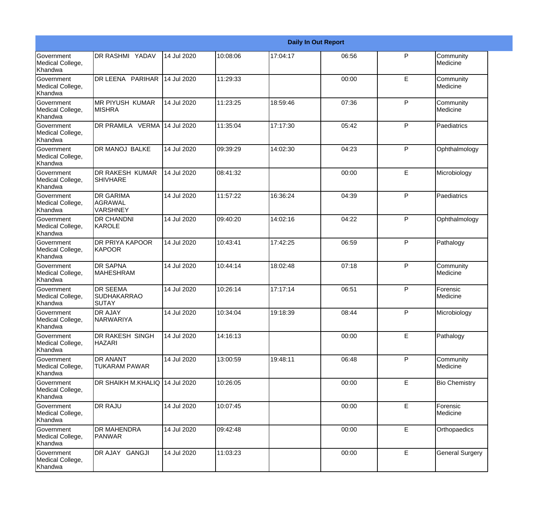|                                                  |                                                       |             |          |          | <b>Daily In Out Report</b> |    |                        |
|--------------------------------------------------|-------------------------------------------------------|-------------|----------|----------|----------------------------|----|------------------------|
| Government<br>Medical College,<br>Khandwa        | <b>DR RASHMI YADAV</b>                                | 14 Jul 2020 | 10:08:06 | 17:04:17 | 06:56                      | P  | Community<br>Medicine  |
| <b>Government</b><br>Medical College,<br>Khandwa | DR LEENA PARIHAR                                      | 14 Jul 2020 | 11:29:33 |          | 00:00                      | E  | Community<br>Medicine  |
| <b>Government</b><br>Medical College,<br>Khandwa | IMR PIYUSH KUMAR<br><b>MISHRA</b>                     | 14 Jul 2020 | 11:23:25 | 18:59:46 | 07:36                      | P  | Community<br>Medicine  |
| Government<br>Medical College,<br>Khandwa        | DR PRAMILA VERMA 14 Jul 2020                          |             | 11:35:04 | 17:17:30 | 05:42                      | P  | Paediatrics            |
| Government<br>Medical College,<br>Khandwa        | <b>DR MANOJ BALKE</b>                                 | 14 Jul 2020 | 09:39:29 | 14:02:30 | 04:23                      | P  | Ophthalmology          |
| Government<br>Medical College,<br>Khandwa        | <b>DR RAKESH KUMAR</b><br><b>SHIVHARE</b>             | 14 Jul 2020 | 08:41:32 |          | 00:00                      | E  | Microbiology           |
| Government<br>Medical College,<br>Khandwa        | <b>DR GARIMA</b><br><b>AGRAWAL</b><br><b>VARSHNEY</b> | 14 Jul 2020 | 11:57:22 | 16:36:24 | 04:39                      | P  | Paediatrics            |
| Government<br>Medical College,<br>Khandwa        | <b>DR CHANDNI</b><br>KAROLE                           | 14 Jul 2020 | 09:40:20 | 14:02:16 | 04:22                      | P  | Ophthalmology          |
| Government<br>Medical College,<br>Khandwa        | <b>DR PRIYA KAPOOR</b><br>KAPOOR                      | 14 Jul 2020 | 10:43:41 | 17:42:25 | 06:59                      | P  | Pathalogy              |
| Government<br>Medical College,<br>Khandwa        | <b>DR SAPNA</b><br><b>I</b> MAHESHRAM                 | 14 Jul 2020 | 10:44:14 | 18:02:48 | 07:18                      | P  | Community<br>Medicine  |
| Government<br>Medical College,<br>Khandwa        | <b>DR SEEMA</b><br><b>SUDHAKARRAO</b><br>SUTAY        | 14 Jul 2020 | 10:26:14 | 17:17:14 | 06:51                      | P  | Forensic<br>Medicine   |
| Government<br>Medical College,<br>Khandwa        | <b>DR AJAY</b><br><b>NARWARIYA</b>                    | 14 Jul 2020 | 10:34:04 | 19:18:39 | 08:44                      | P  | Microbiology           |
| Government<br>Medical College,<br>Khandwa        | DR RAKESH SINGH<br><b>HAZARI</b>                      | 14 Jul 2020 | 14:16:13 |          | 00:00                      | E  | Pathalogy              |
| Government<br>Medical College,<br>Khandwa        | <b>DR ANANT</b><br><b>TUKARAM PAWAR</b>               | 14 Jul 2020 | 13:00:59 | 19:48:11 | 06:48                      | P  | Community<br>Medicine  |
| Government<br>Medical College,<br>Khandwa        | DR SHAIKH M.KHALIQ 14 Jul 2020                        |             | 10:26:05 |          | 00:00                      | E  | <b>Bio Chemistry</b>   |
| Government<br>Medical College,<br>Khandwa        | <b>DR RAJU</b>                                        | 14 Jul 2020 | 10:07:45 |          | 00:00                      | E. | Forensic<br>Medicine   |
| Government<br>Medical College,<br>Khandwa        | <b>DR MAHENDRA</b><br><b>PANWAR</b>                   | 14 Jul 2020 | 09:42:48 |          | 00:00                      | E  | Orthopaedics           |
| Government<br>Medical College,<br>Khandwa        | DR AJAY GANGJI                                        | 14 Jul 2020 | 11:03:23 |          | 00:00                      | E  | <b>General Surgery</b> |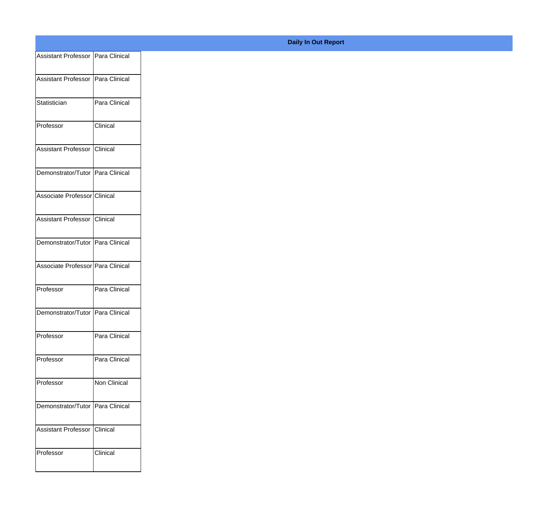| Assistant Professor Para Clinical |
|-----------------------------------|
| Assistant Professor Para Clinical |
|                                   |
| Para Clinical                     |
| <b>Clinical</b>                   |
| Assistant Professor Clinical      |
| Demonstrator/Tutor Para Clinical  |
| Associate Professor Clinical      |
| Assistant Professor Clinical      |
| Demonstrator/Tutor Para Clinical  |
| Associate Professor Para Clinical |
|                                   |
| Para Clinical                     |
| Demonstrator/Tutor Para Clinical  |
| Para Clinical                     |
| Para Clinical                     |
| Non Clinical                      |
|                                   |
|                                   |
| Demonstrator/Tutor Para Clinical  |
| Assistant Professor Clinical      |
|                                   |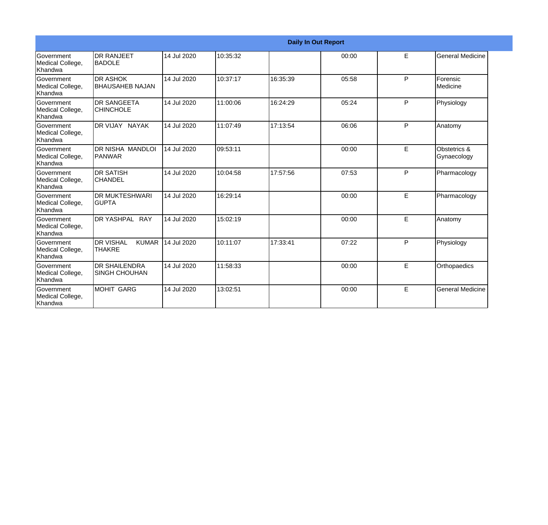|                                                  |                                                     |             |          |          | <b>Daily In Out Report</b> |   |                             |
|--------------------------------------------------|-----------------------------------------------------|-------------|----------|----------|----------------------------|---|-----------------------------|
| Government<br>Medical College,<br>Khandwa        | <b>I</b> DR RANJEET<br><b>I</b> BADOLE              | 14 Jul 2020 | 10:35:32 |          | 00:00                      | E | General Medicine            |
| Government<br>Medical College,<br>Khandwa        | <b>DR ASHOK</b><br><b>BHAUSAHEB NAJAN</b>           | 14 Jul 2020 | 10:37:17 | 16:35:39 | 05:58                      | P | Forensic<br>Medicine        |
| Government<br>Medical College,<br>Khandwa        | <b>DR SANGEETA</b><br>ICHINCHOLE                    | 14 Jul 2020 | 11:00:06 | 16:24:29 | 05:24                      | P | Physiology                  |
| Government<br>Medical College,<br>Khandwa        | DR VIJAY NAYAK                                      | 14 Jul 2020 | 11:07:49 | 17:13:54 | 06:06                      | P | Anatomy                     |
| Government<br>Medical College,<br>Khandwa        | DR NISHA MANDLOI<br>PANWAR                          | 14 Jul 2020 | 09:53:11 |          | 00:00                      | E | Obstetrics &<br>Gynaecology |
| Government<br>Medical College,<br>Khandwa        | <b>DR SATISH</b><br><b>CHANDEL</b>                  | 14 Jul 2020 | 10:04:58 | 17:57:56 | 07:53                      | P | Pharmacology                |
| Government<br>Medical College,<br>Khandwa        | <b>DR MUKTESHWARI</b><br>IGUPTA                     | 14 Jul 2020 | 16:29:14 |          | 00:00                      | E | Pharmacology                |
| Government<br>Medical College,<br>Khandwa        | DR YASHPAL RAY                                      | 14 Jul 2020 | 15:02:19 |          | 00:00                      | E | Anatomy                     |
| Government<br>Medical College,<br>Khandwa        | <b>I</b> DR VISHAL<br><b>KUMAR</b><br><b>THAKRE</b> | 14 Jul 2020 | 10:11:07 | 17:33:41 | 07:22                      | P | Physiology                  |
| <b>Government</b><br>Medical College,<br>Khandwa | <b>DR SHAILENDRA</b><br><b>SINGH CHOUHAN</b>        | 14 Jul 2020 | 11:58:33 |          | 00:00                      | E | Orthopaedics                |
| Government<br>Medical College,<br>Khandwa        | MOHIT GARG                                          | 14 Jul 2020 | 13:02:51 |          | 00:00                      | E | <b>General Medicine</b>     |